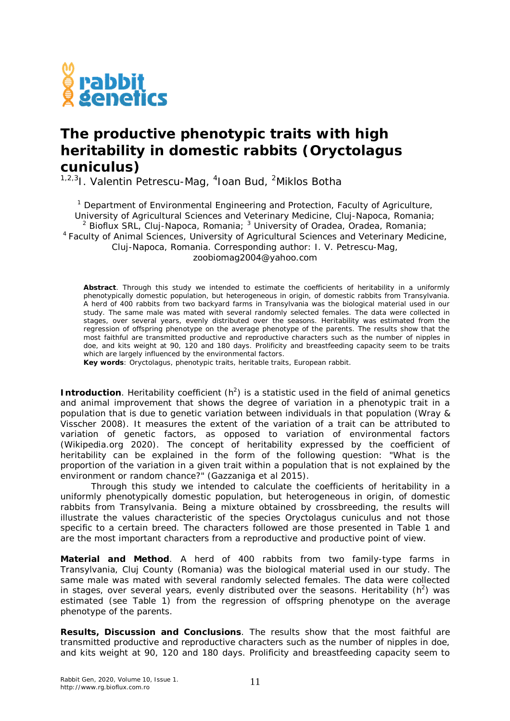

## **The productive phenotypic traits with high heritability in domestic rabbits (***Oryctolagus cuniculus***)**

<sup>1,2,3</sup>I. Valentin Petrescu-Mag, <sup>4</sup>Ioan Bud, <sup>2</sup>Miklos Botha

<sup>1</sup> Department of Environmental Engineering and Protection, Faculty of Agriculture, University of Agricultural Sciences and Veterinary Medicine, Cluj-Napoca, Romania; <sup>2</sup> Bioflux SRL, Cluj-Napoca, Romania;  $3$  University of Oradea, Oradea, Romania; <sup>4</sup>Faculty of Animal Sciences, University of Agricultural Sciences and Veterinary Medicine, Cluj-Napoca, Romania. Corresponding author: I. V. Petrescu-Mag, zoobiomag2004@yahoo.com

**Abstract**. Through this study we intended to estimate the coefficients of heritability in a uniformly phenotypically domestic population, but heterogeneous in origin, of domestic rabbits from Transylvania. A herd of 400 rabbits from two backyard farms in Transylvania was the biological material used in our study. The same male was mated with several randomly selected females. The data were collected in stages, over several years, evenly distributed over the seasons. Heritability was estimated from the regression of offspring phenotype on the average phenotype of the parents. The results show that the most faithful are transmitted productive and reproductive characters such as the number of nipples in doe, and kits weight at 90, 120 and 180 days. Prolificity and breastfeeding capacity seem to be traits which are largely influenced by the environmental factors.

**Key words**: *Oryctolagus*, phenotypic traits, heritable traits, European rabbit.

**Introduction**. Heritability coefficient (h<sup>2</sup>) is a statistic used in the field of animal genetics and animal improvement that shows the degree of variation in a phenotypic trait in a population that is due to genetic variation between individuals in that population (Wray & Visscher 2008). It measures the extent of the variation of a trait can be attributed to variation of genetic factors, as opposed to variation of environmental factors (Wikipedia.org 2020). The concept of heritability expressed by the coefficient of heritability can be explained in the form of the following question: "What is the proportion of the variation in a given trait within a population that is not explained by the environment or random chance?" (Gazzaniga et al 2015).

Through this study we intended to calculate the coefficients of heritability in a uniformly phenotypically domestic population, but heterogeneous in origin, of domestic rabbits from Transylvania. Being a mixture obtained by crossbreeding, the results will illustrate the values characteristic of the species *Oryctolagus cuniculus* and not those specific to a certain breed. The characters followed are those presented in Table 1 and are the most important characters from a reproductive and productive point of view.

**Material and Method**. A herd of 400 rabbits from two family-type farms in Transylvania, Cluj County (Romania) was the biological material used in our study. The same male was mated with several randomly selected females. The data were collected in stages, over several years, evenly distributed over the seasons. Heritability ( $h^2$ ) was estimated (see Table 1) from the regression of offspring phenotype on the average phenotype of the parents.

**Results, Discussion and Conclusions**. The results show that the most faithful are transmitted productive and reproductive characters such as the number of nipples in doe, and kits weight at 90, 120 and 180 days. Prolificity and breastfeeding capacity seem to